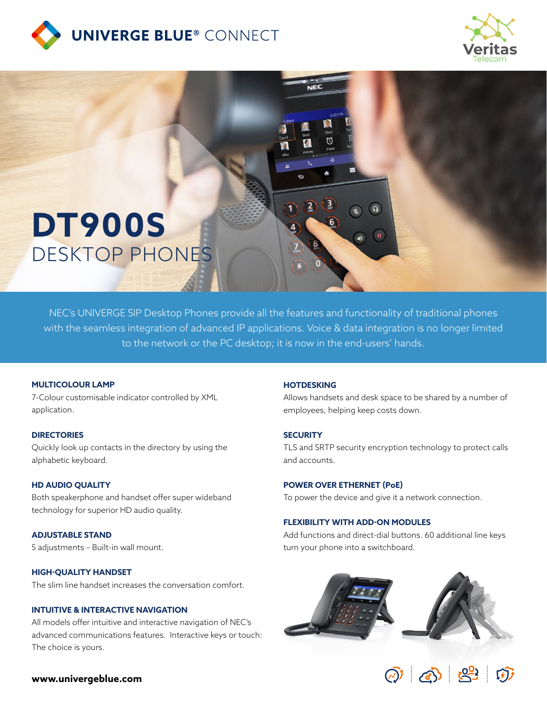





NEC's UNIVERGE SIP Desktop Phones provide all the features and functionality of traditional phones with the seamless integration of advanced IP applications. Voice & data integration is no longer limited to the network or the PC desktop; it is now in the end-users' hands.

### **MULTICOLOUR LAMP**

7-Colour customisable indicator controlled by XML application.

#### **DIRECTORIES**

Quickly look up contacts in the directory by using the alphabetic keyboard.

#### **HD AUDIO QUALITY**

Both speakerphone and handset offer super wideband technology for superior HD audio quality.

**ADJUSTABLE STAND** 5 adjustments – Built-in wall mount.

#### **HIGH-QUALITY HANDSET**

The slim line handset increases the conversation comfort.

## **INTUITIVE & INTERACTIVE NAVIGATION**

All models offer intuitive and interactive navigation of NEC's advanced communications features. Interactive keys or touch: The choice is yours.

### **HOTDESKING**

Allows handsets and desk space to be shared by a number of employees, helping keep costs down.

#### **SECURITY**

TLS and SRTP security encryption technology to protect calls and accounts.

### **POWER OVER ETHERNET (PoE)**

To power the device and give it a network connection.

#### **FLEXIBILITY WITH ADD-ON MODULES**

Add functions and direct-dial buttons. 60 additional line keys turn your phone into a switchboard.





### **www.univergeblue.com**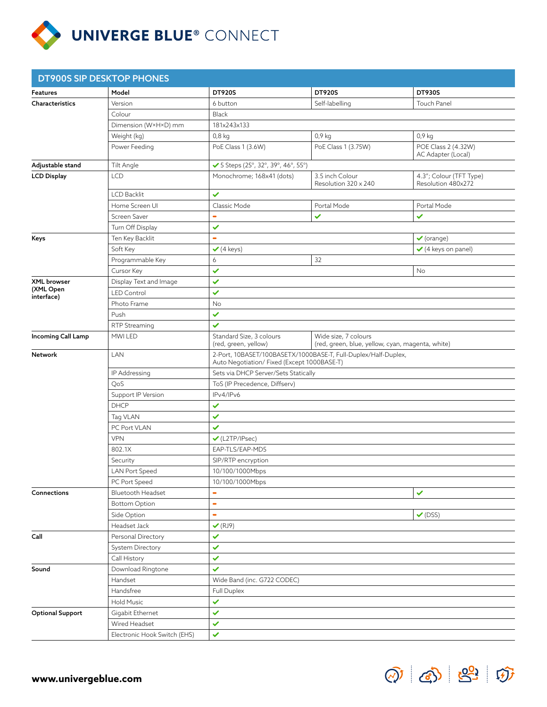

|                                        | <b>DT900S SIP DESKTOP PHONES</b> |                                                                                                              |                                                                          |                                               |  |  |
|----------------------------------------|----------------------------------|--------------------------------------------------------------------------------------------------------------|--------------------------------------------------------------------------|-----------------------------------------------|--|--|
| Features                               | Model                            | <b>DT920S</b>                                                                                                | <b>DT920S</b>                                                            | <b>DT930S</b>                                 |  |  |
| Characteristics                        | Version                          | 6 button                                                                                                     | Self-labelling                                                           | <b>Touch Panel</b>                            |  |  |
|                                        | Colour                           | Black                                                                                                        |                                                                          |                                               |  |  |
|                                        | Dimension (W×H×D) mm             | 181x243x133                                                                                                  |                                                                          |                                               |  |  |
|                                        | Weight (kg)                      | $0,8$ kg<br>$0,9$ kg<br>$0,9$ kg                                                                             |                                                                          |                                               |  |  |
|                                        | Power Feeding                    | PoE Class 1 (3.6W)                                                                                           | PoE Class 1 (3.75W)                                                      | POE Class 2 (4.32W)<br>AC Adapter (Local)     |  |  |
| Adjustable stand                       | Tilt Angle                       | ✔ 5 Steps (25°, 32°, 39°, 46°, 55°)                                                                          |                                                                          |                                               |  |  |
| <b>LCD Display</b>                     | <b>LCD</b>                       | Monochrome; 168x41 (dots)                                                                                    | 3.5 inch Colour<br>Resolution 320 x 240                                  | 4.3"; Colour (TFT Type)<br>Resolution 480x272 |  |  |
|                                        | <b>LCD Backlit</b>               | $\checkmark$                                                                                                 |                                                                          |                                               |  |  |
|                                        | Home Screen UI                   | Classic Mode                                                                                                 | Portal Mode                                                              | Portal Mode                                   |  |  |
|                                        | Screen Saver                     | $\blacksquare$                                                                                               | ✓                                                                        | ✓                                             |  |  |
|                                        | Turn Off Display                 | $\checkmark$                                                                                                 |                                                                          |                                               |  |  |
| Keys                                   | Ten Key Backlit                  | $\blacksquare$<br>$\checkmark$ (orange)                                                                      |                                                                          |                                               |  |  |
|                                        | Soft Key                         | $(4 \text{ keys})$                                                                                           | $\checkmark$ (4 keys on panel)                                           |                                               |  |  |
|                                        | Programmable Key                 | 6                                                                                                            | 32                                                                       |                                               |  |  |
|                                        | Cursor Key                       | $\checkmark$<br>No                                                                                           |                                                                          |                                               |  |  |
| XML browser<br>(XML Open<br>interface) | Display Text and Image           | $\checkmark$                                                                                                 |                                                                          |                                               |  |  |
|                                        | <b>LED Control</b>               | ✓                                                                                                            |                                                                          |                                               |  |  |
|                                        | Photo Frame                      | No                                                                                                           |                                                                          |                                               |  |  |
|                                        | Push                             | $\checkmark$                                                                                                 |                                                                          |                                               |  |  |
|                                        | RTP Streaming                    | $\checkmark$                                                                                                 |                                                                          |                                               |  |  |
| Incoming Call Lamp                     | MWI LED                          | Standard Size, 3 colours<br>(red, green, yellow)                                                             | Wide size, 7 colours<br>(red, green, blue, yellow, cyan, magenta, white) |                                               |  |  |
| Network                                | LAN                              | 2-Port, 10BASET/100BASETX/1000BASE-T, Full-Duplex/Half-Duplex,<br>Auto Negotiation/Fixed (Except 1000BASE-T) |                                                                          |                                               |  |  |
|                                        | IP Addressing                    | Sets via DHCP Server/Sets Statically                                                                         |                                                                          |                                               |  |  |
|                                        | QoS                              | ToS (IP Precedence, Diffserv)                                                                                |                                                                          |                                               |  |  |
|                                        | Support IP Version               | IPv4/IPv6                                                                                                    |                                                                          |                                               |  |  |
|                                        | <b>DHCP</b>                      | $\checkmark$                                                                                                 |                                                                          |                                               |  |  |
|                                        | Tag VLAN                         | $\checkmark$                                                                                                 |                                                                          |                                               |  |  |
|                                        | PC Port VLAN                     | $\checkmark$                                                                                                 |                                                                          |                                               |  |  |
|                                        | <b>VPN</b>                       | $\checkmark$ (L2TP/IPsec)                                                                                    |                                                                          |                                               |  |  |
|                                        | 802.1X                           | EAP-TLS/EAP-MD5                                                                                              |                                                                          |                                               |  |  |
|                                        | Security                         | SIP/RTP encryption                                                                                           |                                                                          |                                               |  |  |
|                                        | LAN Port Speed                   | 10/100/1000Mbps                                                                                              |                                                                          |                                               |  |  |
|                                        | PC Port Speed                    | 10/100/1000Mbps                                                                                              |                                                                          |                                               |  |  |
| Connections                            | <b>Bluetooth Headset</b>         | $\blacksquare$<br>✓                                                                                          |                                                                          |                                               |  |  |
|                                        | <b>Bottom Option</b>             | $\blacksquare$                                                                                               |                                                                          |                                               |  |  |
|                                        | Side Option                      | $\blacksquare$                                                                                               | $\checkmark$ (DSS)                                                       |                                               |  |  |
|                                        | Headset Jack                     | $\checkmark$ (RJ9)                                                                                           |                                                                          |                                               |  |  |
| Call                                   | Personal Directory               | ✓                                                                                                            |                                                                          |                                               |  |  |
|                                        | System Directory                 | ✓                                                                                                            |                                                                          |                                               |  |  |
|                                        | Call History                     | $\checkmark$                                                                                                 |                                                                          |                                               |  |  |
| Sound                                  | Download Ringtone                | ✓                                                                                                            |                                                                          |                                               |  |  |
|                                        | Handset                          | Wide Band (inc. G722 CODEC)                                                                                  |                                                                          |                                               |  |  |
|                                        | Handsfree                        | Full Duplex                                                                                                  |                                                                          |                                               |  |  |
|                                        | <b>Hold Music</b>                | ✓                                                                                                            |                                                                          |                                               |  |  |
| <b>Optional Support</b>                | Gigabit Ethernet                 | $\checkmark$                                                                                                 |                                                                          |                                               |  |  |
|                                        | Wired Headset                    | $\checkmark$                                                                                                 |                                                                          |                                               |  |  |
|                                        | Electronic Hook Switch (EHS)     | $\checkmark$                                                                                                 |                                                                          |                                               |  |  |

 $\textcircled{2} \text{ } \textcircled{3} \text{ } \textcircled{3} \text{ } \textcircled{4}$